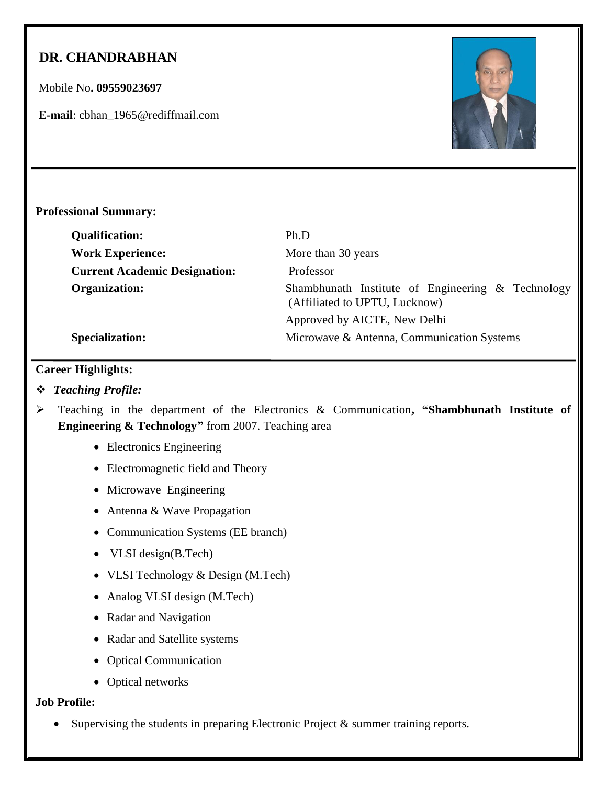# **DR. CHANDRABHAN**

Mobile No**. 09559023697**

**E-mail**: cbhan\_1965@rediffmail.com



## **Professional Summary:**

| <b>Qualification:</b>                | Ph.D                                                                               |
|--------------------------------------|------------------------------------------------------------------------------------|
| <b>Work Experience:</b>              | More than 30 years                                                                 |
| <b>Current Academic Designation:</b> | Professor                                                                          |
| Organization:                        | Shambhunath Institute of Engineering & Technology<br>(Affiliated to UPTU, Lucknow) |
|                                      | Approved by AICTE, New Delhi                                                       |
| <b>Specialization:</b>               | Microwave & Antenna, Communication Systems                                         |

## **Career Highlights:**

## *Teaching Profile:*

- Teaching in the department of the Electronics & Communication**, "Shambhunath Institute of Engineering & Technology"** from 2007. Teaching area
	- Electronics Engineering
	- Electromagnetic field and Theory
	- Microwave Engineering
	- Antenna & Wave Propagation
	- Communication Systems (EE branch)
	- VLSI design(B.Tech)
	- VLSI Technology & Design (M.Tech)
	- Analog VLSI design (M.Tech)
	- Radar and Navigation
	- Radar and Satellite systems
	- Optical Communication
	- Optical networks

## **Job Profile:**

Supervising the students in preparing Electronic Project & summer training reports.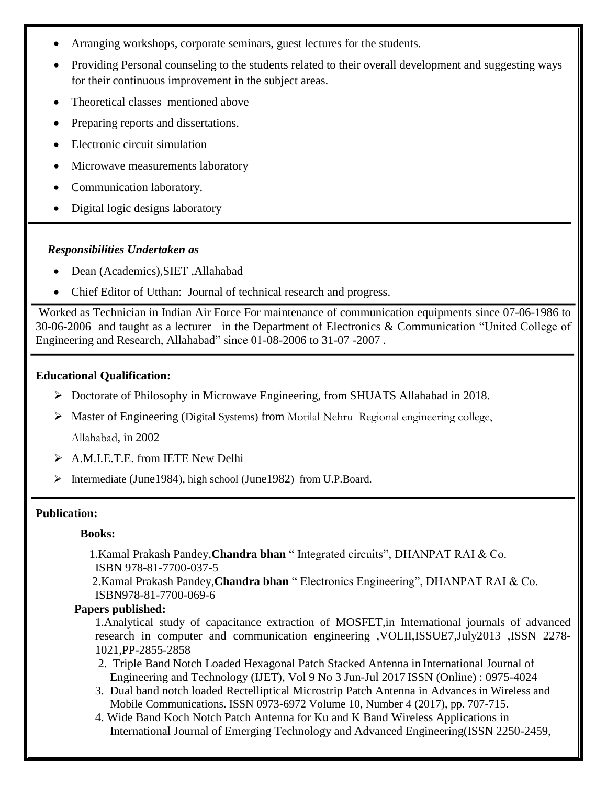- Arranging workshops, corporate seminars, guest lectures for the students.
- Providing Personal counseling to the students related to their overall development and suggesting ways for their continuous improvement in the subject areas.
- Theoretical classes mentioned above
- Preparing reports and dissertations.
- Electronic circuit simulation
- Microwave measurements laboratory
- Communication laboratory.
- Digital logic designs laboratory

#### *Responsibilities Undertaken as*

- Dean (Academics),SIET ,Allahabad
- Chief Editor of Utthan: Journal of technical research and progress.

Worked as Technician in Indian Air Force For maintenance of communication equipments since 07-06-1986 to 30-06-2006 and taught as a lecturer in the Department of Electronics & Communication "United College of Engineering and Research, Allahabad" since 01-08-2006 to 31-07 -2007 .

#### **Educational Qualification:**

- Doctorate of Philosophy in Microwave Engineering, from SHUATS Allahabad in 2018.
- Master of Engineering (Digital Systems) from Motilal Nehru Regional engineering college, Allahabad, in 2002
- A.M.I.E.T.E. from IETE New Delhi
- Intermediate (June1984), high school (June1982) from U.P.Board.

#### **Publication:**

#### **Books:**

1.Kamal Prakash Pandey,**Chandra bhan** " Integrated circuits", DHANPAT RAI & Co. ISBN 978-81-7700-037-5

 2.Kamal Prakash Pandey,**Chandra bhan** " Electronics Engineering", DHANPAT RAI & Co. ISBN978-81-7700-069-6

#### **Papers published:**

1.Analytical study of capacitance extraction of MOSFET,in International journals of advanced research in computer and communication engineering ,VOLII,ISSUE7,July2013 ,ISSN 2278- 1021,PP-2855-2858

- 2. Triple Band Notch Loaded Hexagonal Patch Stacked Antenna in International Journal of Engineering and Technology (IJET), Vol 9 No 3 Jun-Jul 2017 ISSN (Online) : 0975-4024
- 3. Dual band notch loaded Rectelliptical Microstrip Patch Antenna in Advances in Wireless and Mobile Communications. ISSN 0973-6972 Volume 10, Number 4 (2017), pp. 707-715.
- 4. Wide Band Koch Notch Patch Antenna for Ku and K Band Wireless Applications in International Journal of Emerging Technology and Advanced Engineering(ISSN 2250-2459,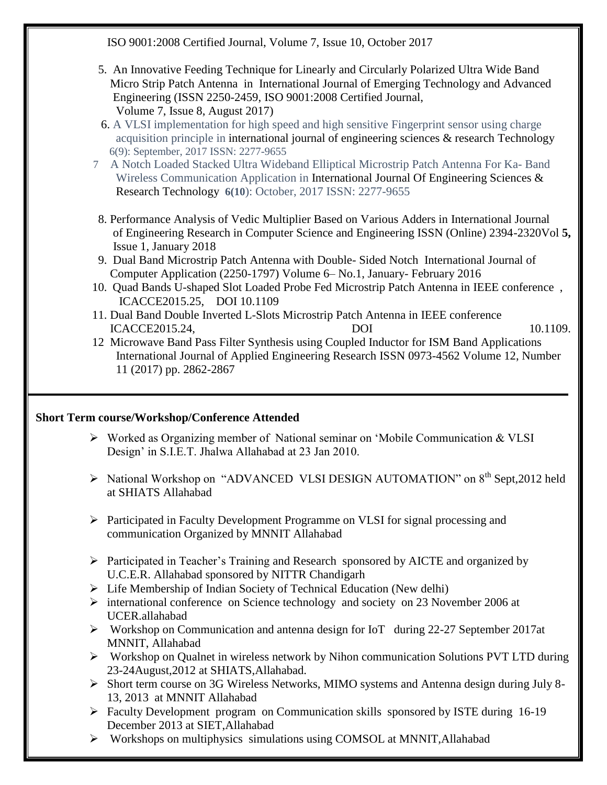ISO 9001:2008 Certified Journal, Volume 7, Issue 10, October 2017

- 5. An Innovative Feeding Technique for Linearly and Circularly Polarized Ultra Wide Band Micro Strip Patch Antenna in International Journal of Emerging Technology and Advanced Engineering (ISSN 2250-2459, ISO 9001:2008 Certified Journal, Volume 7, Issue 8, August 2017)
- 6. A VLSI implementation for high speed and high sensitive Fingerprint sensor using charge acquisition principle in international journal of engineering sciences & research Technology6(9): September, 2017 ISSN: 2277-9655
- 7A Notch Loaded Stacked Ultra Wideband Elliptical Microstrip Patch Antenna For Ka- Band Wireless Communication Application in International Journal Of Engineering Sciences & Research Technology **6(10**): October, 2017 ISSN: 2277-9655
- 8. Performance Analysis of Vedic Multiplier Based on Various Adders in International Journal of Engineering Research in Computer Science and Engineering ISSN (Online) 2394-2320Vol **5,** Issue 1, January 2018
- 9. Dual Band Microstrip Patch Antenna with Double- Sided Notch International Journal of Computer Application (2250-1797) Volume 6– No.1, January- February 2016
- 10. Quad Bands U-shaped Slot Loaded Probe Fed Microstrip Patch Antenna in IEEE conference , ICACCE2015.25, DOI 10.1109
- 11. Dual Band Double Inverted L-Slots Microstrip Patch Antenna in IEEE conference **ICACCE2015.24, DOI** 10.1109.
- 12 Microwave Band Pass Filter Synthesis using Coupled Inductor for ISM Band Applications International Journal of Applied Engineering Research ISSN 0973-4562 Volume 12, Number 11 (2017) pp. 2862-2867

## **Short Term course/Workshop/Conference Attended**

- $\triangleright$  Worked as Organizing member of National seminar on 'Mobile Communication & VLSI Design" in S.I.E.T. Jhalwa Allahabad at 23 Jan 2010.
- > National Workshop on "ADVANCED VLSI DESIGN AUTOMATION" on 8<sup>th</sup> Sept,2012 held at SHIATS Allahabad
- $\triangleright$  Participated in Faculty Development Programme on VLSI for signal processing and communication Organized by MNNIT Allahabad
- Participated in Teacher"s Training and Research sponsored by AICTE and organized by U.C.E.R. Allahabad sponsored by NITTR Chandigarh
- $\triangleright$  Life Membership of Indian Society of Technical Education (New delhi)
- international conference on Science technology and society on 23 November 2006 at UCER.allahabad
- $\triangleright$  Workshop on Communication and antenna design for IoT during 22-27 September 2017at MNNIT, Allahabad
- $\triangleright$  Workshop on Qualnet in wireless network by Nihon communication Solutions PVT LTD during 23-24August,2012 at SHIATS,Allahabad.
- Short term course on 3G Wireless Networks, MIMO systems and Antenna design during July 8- 13, 2013 at MNNIT Allahabad
- Faculty Development program on Communication skills sponsored by ISTE during 16-19 December 2013 at SIET,Allahabad
- Workshops on multiphysics simulations using COMSOL at MNNIT,Allahabad